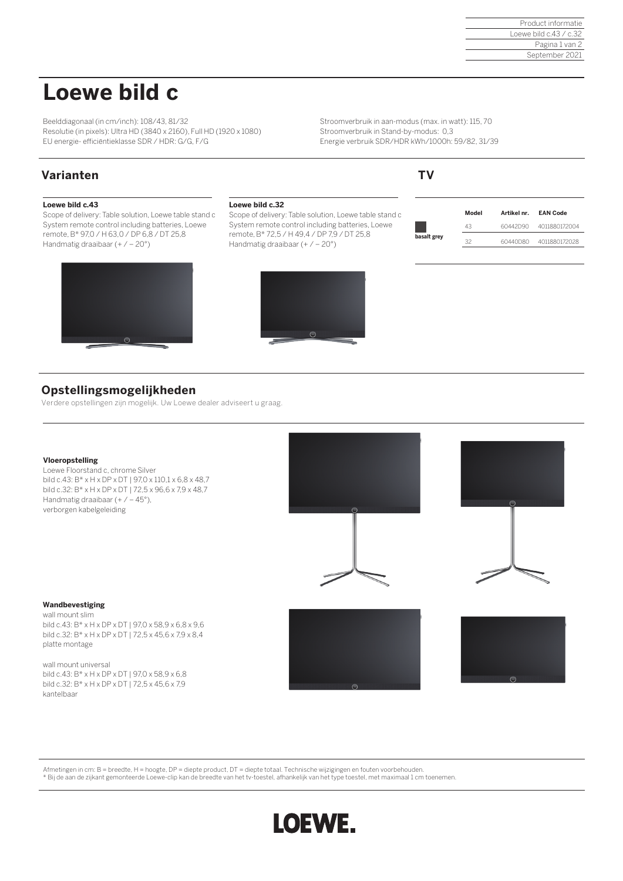# **Loewe bild c**

Beelddiagonaal (in cm/inch): 108/43, 81/32 Resolutie (in pixels): Ultra HD (3840 x 2160), Full HD (1920 x 1080) EU energie- efficiëntieklasse SDR / HDR: G/G, F/G

Stroomverbruik in aan-modus (max. in watt): 115, 70 Stroomverbruik in Stand-by-modus: 0,3 Energie verbruik SDR/HDR kWh/1000h: 59/82, 31/39

# **Varianten TV**

## **Loewe bild c.43**

Scope of delivery: Table solution, Loewe table stand c System remote control including batteries, Loewe remote, B\* 97,0 / H 63,0 / DP 6,8 / DT 25,8 Handmatig draaibaar (+ / – 20°)



### **Loewe bild c.32**

Scope of delivery: Table solution, Loewe table stand c System remote control including batteries, Loewe remote, B\* 72,5 / H 49,4 / DP 7,9 / DT 25,8 Handmatig draaibaar (+ / – 20°)



|             | Model | Artikel nr. EAN Code |               |
|-------------|-------|----------------------|---------------|
|             | 43    | 60442D90             | 4011880172004 |
| basalt grey | 32    | 60440D80             | 4011880172028 |

# **Opstellingsmogelijkheden**

Verdere opstellingen zijn mogelijk. Uw Loewe dealer adviseert u graag.

### **Vloeropstelling**

Loewe Floorstand c, chrome Silver bild c.43: B\* x H x DP x DT | 97,0 x 110,1 x 6,8 x 48,7 bild c.32: B\* x H x DP x DT | 72,5 x 96,6 x 7,9 x 48,7 Handmatig draaibaar (+ / – 45°), verborgen kabelgeleiding





## **Wandbevestiging**

wall mount slim bild c.43: B\* x H x DP x DT | 97,0 x 58,9 x 6,8 x 9,6 bild c.32: B\* x H x DP x DT | 72,5 x 45,6 x 7,9 x 8,4 platte montage

wall mount universal bild c.43: B\* x H x DP x DT | 97,0 x 58,9 x 6,8 bild c.32: B\* x H x DP x DT | 72,5 x 45,6 x 7,9 kantelbaar





Afmetingen in cm: B = breedte, H = hoogte, DP = diepte product, DT = diepte totaal. Technische wijzigingen en fouten voorbehouden. \* Bij de aan de zijkant gemonteerde Loewe-clip kan de breedte van het tv-toestel, afhankelijk van het type toestel, met maximaal 1 cm toenemen.